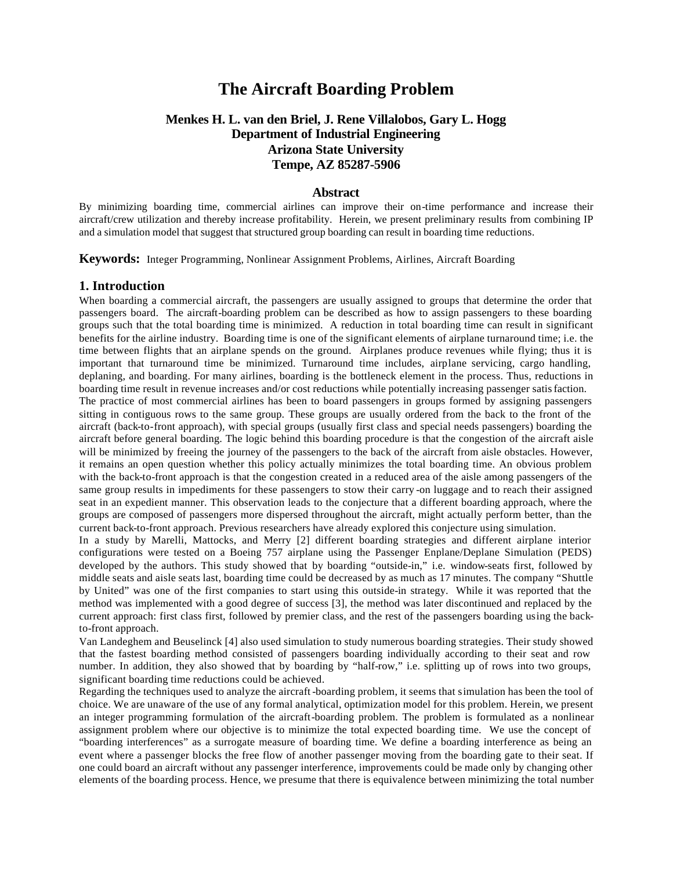# **The Aircraft Boarding Problem**

## **Menkes H. L. van den Briel, J. Rene Villalobos, Gary L. Hogg Department of Industrial Engineering Arizona State University Tempe, AZ 85287-5906**

### **Abstract**

By minimizing boarding time, commercial airlines can improve their on-time performance and increase their aircraft/crew utilization and thereby increase profitability. Herein, we present preliminary results from combining IP and a simulation model that suggest that structured group boarding can result in boarding time reductions.

**Keywords:** Integer Programming, Nonlinear Assignment Problems, Airlines, Aircraft Boarding

#### **1. Introduction**

When boarding a commercial aircraft, the passengers are usually assigned to groups that determine the order that passengers board. The aircraft-boarding problem can be described as how to assign passengers to these boarding groups such that the total boarding time is minimized. A reduction in total boarding time can result in significant benefits for the airline industry. Boarding time is one of the significant elements of airplane turnaround time; i.e. the time between flights that an airplane spends on the ground. Airplanes produce revenues while flying; thus it is important that turnaround time be minimized. Turnaround time includes, airplane servicing, cargo handling, deplaning, and boarding. For many airlines, boarding is the bottleneck element in the process. Thus, reductions in boarding time result in revenue increases and/or cost reductions while potentially increasing passenger satisfaction.

The practice of most commercial airlines has been to board passengers in groups formed by assigning passengers sitting in contiguous rows to the same group. These groups are usually ordered from the back to the front of the aircraft (back-to-front approach), with special groups (usually first class and special needs passengers) boarding the aircraft before general boarding. The logic behind this boarding procedure is that the congestion of the aircraft aisle will be minimized by freeing the journey of the passengers to the back of the aircraft from aisle obstacles. However, it remains an open question whether this policy actually minimizes the total boarding time. An obvious problem with the back-to-front approach is that the congestion created in a reduced area of the aisle among passengers of the same group results in impediments for these passengers to stow their carry -on luggage and to reach their assigned seat in an expedient manner. This observation leads to the conjecture that a different boarding approach, where the groups are composed of passengers more dispersed throughout the aircraft, might actually perform better, than the current back-to-front approach. Previous researchers have already explored this conjecture using simulation.

In a study by Marelli, Mattocks, and Merry [2] different boarding strategies and different airplane interior configurations were tested on a Boeing 757 airplane using the Passenger Enplane/Deplane Simulation (PEDS) developed by the authors. This study showed that by boarding "outside-in," i.e. window-seats first, followed by middle seats and aisle seats last, boarding time could be decreased by as much as 17 minutes. The company "Shuttle by United" was one of the first companies to start using this outside-in strategy. While it was reported that the method was implemented with a good degree of success [3], the method was later discontinued and replaced by the current approach: first class first, followed by premier class, and the rest of the passengers boarding using the backto-front approach.

Van Landeghem and Beuselinck [4] also used simulation to study numerous boarding strategies. Their study showed that the fastest boarding method consisted of passengers boarding individually according to their seat and row number. In addition, they also showed that by boarding by "half-row," i.e. splitting up of rows into two groups, significant boarding time reductions could be achieved.

Regarding the techniques used to analyze the aircraft-boarding problem, it seems that simulation has been the tool of choice. We are unaware of the use of any formal analytical, optimization model for this problem. Herein, we present an integer programming formulation of the aircraft-boarding problem. The problem is formulated as a nonlinear assignment problem where our objective is to minimize the total expected boarding time. We use the concept of "boarding interferences" as a surrogate measure of boarding time. We define a boarding interference as being an event where a passenger blocks the free flow of another passenger moving from the boarding gate to their seat. If one could board an aircraft without any passenger interference, improvements could be made only by changing other elements of the boarding process. Hence, we presume that there is equivalence between minimizing the total number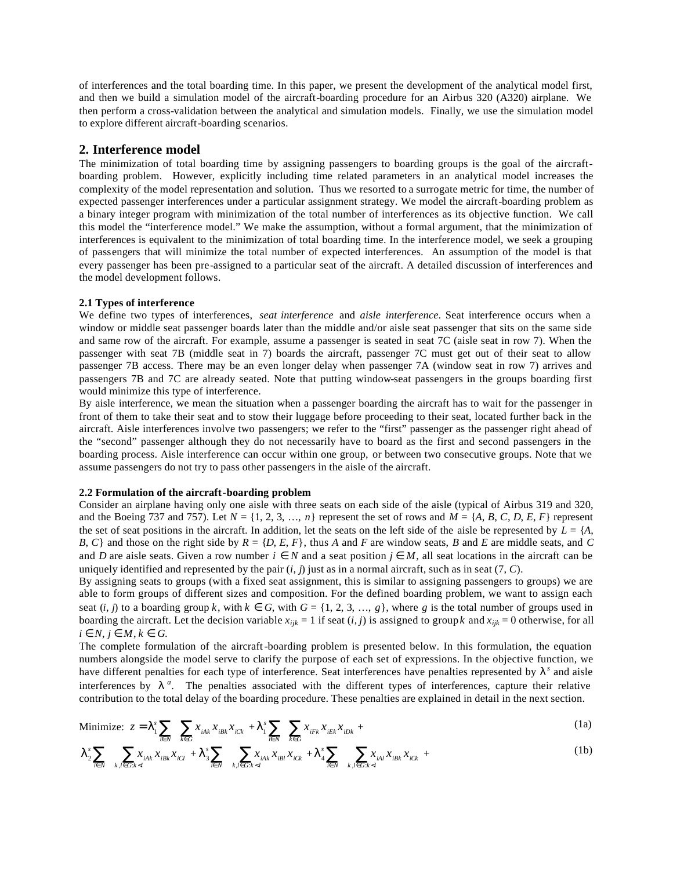of interferences and the total boarding time. In this paper, we present the development of the analytical model first, and then we build a simulation model of the aircraft-boarding procedure for an Airbus 320 (A320) airplane. We then perform a cross-validation between the analytical and simulation models. Finally, we use the simulation model to explore different aircraft-boarding scenarios.

### **2. Interference model**

The minimization of total boarding time by assigning passengers to boarding groups is the goal of the aircraftboarding problem. However, explicitly including time related parameters in an analytical model increases the complexity of the model representation and solution. Thus we resorted to a surrogate metric for time, the number of expected passenger interferences under a particular assignment strategy. We model the aircraft-boarding problem as a binary integer program with minimization of the total number of interferences as its objective function. We call this model the "interference model." We make the assumption, without a formal argument, that the minimization of interferences is equivalent to the minimization of total boarding time. In the interference model, we seek a grouping of passengers that will minimize the total number of expected interferences. An assumption of the model is that every passenger has been pre-assigned to a particular seat of the aircraft. A detailed discussion of interferences and the model development follows.

#### **2.1 Types of interference**

We define two types of interferences, *seat interference* and *aisle interference*. Seat interference occurs when a window or middle seat passenger boards later than the middle and/or aisle seat passenger that sits on the same side and same row of the aircraft. For example, assume a passenger is seated in seat 7C (aisle seat in row 7). When the passenger with seat 7B (middle seat in 7) boards the aircraft, passenger 7C must get out of their seat to allow passenger 7B access. There may be an even longer delay when passenger 7A (window seat in row 7) arrives and passengers 7B and 7C are already seated. Note that putting window-seat passengers in the groups boarding first would minimize this type of interference.

By aisle interference, we mean the situation when a passenger boarding the aircraft has to wait for the passenger in front of them to take their seat and to stow their luggage before proceeding to their seat, located further back in the aircraft. Aisle interferences involve two passengers; we refer to the "first" passenger as the passenger right ahead of the "second" passenger although they do not necessarily have to board as the first and second passengers in the boarding process. Aisle interference can occur within one group, or between two consecutive groups. Note that we assume passengers do not try to pass other passengers in the aisle of the aircraft.

#### **2.2 Formulation of the aircraft-boarding problem**

Consider an airplane having only one aisle with three seats on each side of the aisle (typical of Airbus 319 and 320, and the Boeing 737 and 757). Let  $N = \{1, 2, 3, \ldots, n\}$  represent the set of rows and  $M = \{A, B, C, D, E, F\}$  represent the set of seat positions in the aircraft. In addition, let the seats on the left side of the aisle be represented by  $L = \{A, \}$ *B*, *C*} and those on the right side by  $R = \{D, E, F\}$ , thus *A* and *F* are window seats, *B* and *E* are middle seats, and *C* and *D* are aisle seats. Given a row number  $i \in N$  and a seat position  $j \in M$ , all seat locations in the aircraft can be uniquely identified and represented by the pair  $(i, j)$  just as in a normal aircraft, such as in seat  $(7, C)$ .

By assigning seats to groups (with a fixed seat assignment, this is similar to assigning passengers to groups) we are able to form groups of different sizes and composition. For the defined boarding problem, we want to assign each seat  $(i, j)$  to a boarding group  $k$ , with  $k \in G$ , with  $G = \{1, 2, 3, ..., g\}$ , where g is the total number of groups used in boarding the aircraft. Let the decision variable  $x_{ijk} = 1$  if seat  $(i, j)$  is assigned to group  $k$  and  $x_{ijk} = 0$  otherwise, for all  $i \in N$ ,  $j \in M$ ,  $k \in G$ .

The complete formulation of the aircraft-boarding problem is presented below. In this formulation, the equation numbers alongside the model serve to clarify the purpose of each set of expressions. In the objective function, we have different penalties for each type of interference. Seat interferences have penalties represented by *l <sup>s</sup>* and aisle interferences by  $I^a$ . The penalties associated with the different types of interferences, capture their relative contribution to the total delay of the boarding procedure. These penalties are explained in detail in the next section.

Minimize: 
$$
z = I_1^s \sum_{i \in N} \sum_{k \in G} x_{i A k} x_{i B k} x_{i C k} + I_1^s \sum_{i \in N} \sum_{k \in G} x_{i F k} x_{i E k} x_{i D k} +
$$
 (1a)

$$
\boldsymbol{I}_{2}^{s} \sum_{i \in N} \sum_{k,l \in G: k < l} x_{i,k} x_{i\in R} x_{i\in l} + \boldsymbol{I}_{3}^{s} \sum_{i \in N} \sum_{k,l \in G: k < l} x_{i,k} x_{i\in l} x_{i\in k} + \boldsymbol{I}_{4}^{s} \sum_{i \in N} \sum_{k,l \in G: k < l} x_{i\in l} x_{i\in R} x_{i\in k} + \tag{1b}
$$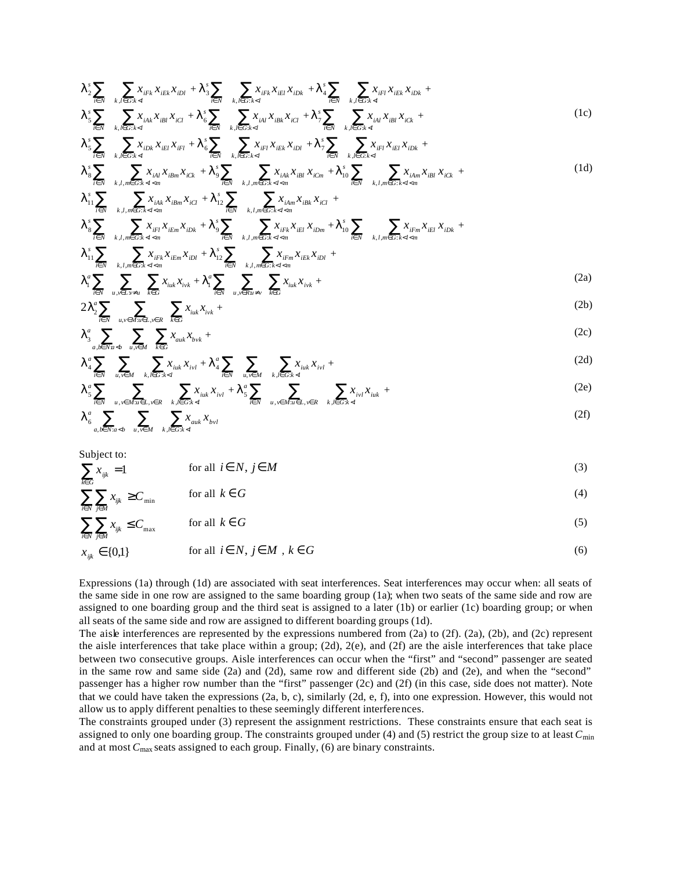$$
I_{2}^{s}\sum_{i\in N}\sum_{k,l\in G:k\prec l}x_{iFk}x_{iEk}x_{iDl} + I_{3}^{s}\sum_{i\in N}\sum_{k,l\in G:k\prec l}x_{iFk}x_{iEl}x_{iDk} + I_{4}^{s}\sum_{i\in N}\sum_{k,l\in G:k\prec l}x_{iFl}x_{iEk}x_{iDk} +
$$
  

$$
I_{5}^{s}\sum_{i\in N}\sum_{k,l\in G:k\prec l}x_{iAk}x_{iBl}x_{iCl} + I_{6}^{s}\sum_{i\in N}\sum_{k,l\in G:k\prec l}x_{iAl}x_{iBk}x_{iCl} + I_{7}^{s}\sum_{i\in N}\sum_{k,l\in G:k\prec l}x_{iAl}x_{iBl}x_{iCk} +
$$
 (1c)

$$
I_{5}^{s} \sum_{i \in N} \sum_{k,l \in G: k < l} x_{i} x_{i} x_{i} x_{j} + I_{6}^{s} \sum_{i \in N} \sum_{k,l \in G: k < l} x_{i} x_{i} x_{i} x_{i} + I_{7}^{s} \sum_{i \in N} \sum_{k,l \in G: k < l} x_{i} x_{i} x_{i} x_{i} + I_{8}^{s} \sum_{k,l \in G: k < l} x_{i} x_{i} + I_{9}^{s} \sum_{k,l \in G: k < l} x_{i} x_{i} + I_{9}^{s} \sum_{k,l \in G: k < l} x_{i} x_{i} + I_{9}^{s} \sum_{k,l \in G: k < l} x_{i} x_{i} + I_{9}^{s} \sum_{k,l \in G: k < l} x_{i} x_{i} + I_{9}^{s} \sum_{k,l \in G: k < l} x_{i} x_{i} + I_{9}^{s} \sum_{k,l \in G: k < l} x_{i} x_{i} + I_{9}^{s} \sum_{k,l \in G: k < l} x_{i} x_{i} + I_{9}^{s} \sum_{k,l \in G: k < l} x_{i} x_{i} + I_{9}^{s} \sum_{k,l \in G: k < l} x_{i} x_{i} + I_{9}^{s} \sum_{k,l \in G: k < l} x_{i} x_{i} + I_{9}^{s} \sum_{k,l \in G: k < l} x_{i} x_{i} + I_{9}^{s} \sum_{k,l \in G: k < l} x_{i} x_{i} + I_{9}^{s} \sum_{k,l \in G: k < l} x_{i} x_{i} + I_{9}^{s} \sum_{k,l \in G: k < l} x_{i} x_{i} + I_{9}^{s} \sum_{k,l \in G: k < l} x_{i} x_{i} + I_{9}^{s} \sum_{k,l \in G: k < l} x_{i} x_{i} + I_{9}^{s} \sum_{k,l \in G: k < l} x_{i} x_{i} + I_{9}^{s} \sum_{k,l \in G: k < l} x_{i} x_{i} + I_{9}^{s} \sum_{k,l \in G: k < l} x_{i} x_{i
$$

$$
I_{8}^{s} \sum_{i \in N} \sum_{k,l,m \in G: k \le l \le m} x_{i\lambda l} x_{i\beta m} x_{i\zeta k} + I_{9}^{s} \sum_{i \in N} \sum_{k,l,m \in G: k \le l \le m} x_{i\lambda k} x_{i\beta l} x_{i\zeta m} + I_{10}^{s} \sum_{i \in N} \sum_{k,l,m \in G: k \le l \le m} x_{i\lambda m} x_{i\beta l} x_{i\zeta k} +
$$
(1d)

$$
\pmb{I}_{3}^{s}\sum_{i\in N}\sum_{k,l,m\in G:k
$$

$$
I_{11}^s \sum_{i \in N} \sum_{k,l,m \in G:k < l < m} x_{iFk} x_{iEm} x_{iDl} + I_{12}^s \sum_{i \in N} \sum_{k,l,m \in G:k < l < m} x_{iFm} x_{iEk} x_{iDl} + I_{12}^s \sum_{i \in N} \sum_{k,l,m \in G:k < l < m} x_{iFm} x_{iEk} x_{iDl} + I_{12}^s \sum_{i \in N} x_{iikk} x_{i'k} + I_{13}^s \sum_{i \in N} \sum_{u,v \in Ru \neq v} x_{iu'k} x_{i'k} + \dots \tag{2a}
$$

$$
2I_2^a \sum_{i \in N} \sum_{u,v \in M: u \in L, v \in R} \sum_{k \in G} x_{iuk} x_{ivk} + \tag{2b}
$$

$$
I_{3}^{a} \sum_{a,b \in Na \prec b} \sum_{u,v \in M} \sum_{k \in G} x_{auk} x_{bvk} +
$$
 (2c)

$$
I_{4}^{a} \sum_{i \in N} \sum_{u,v \in M} \sum_{k,l \in G: k < l} x_{iuk} x_{ivl} + I_{4}^{a} \sum_{i \in N} \sum_{u,v \in M} \sum_{k,l \in G: k < l} x_{iuk} x_{ivl} + \sum_{k,l \in G: k < l} x_{ikl} x_{ivl} + \sum_{k,l \in G: k < l} x_{ikl} x_{ivl} + \sum_{k,l \in G: k < l} x_{ikl} x_{ikl} + \sum_{k,l \in G: k < l} x_{ikl} x_{ikl} + \sum_{k,l \in G: k < l} x_{ikl} x_{ikl} + \sum_{k,l \in G: k < l} x_{ikl} x_{ikl} + \sum_{k,l \in G: k < l} x_{ikl} x_{ikl} + \sum_{k,l \in G: k < l} x_{ikl} x_{ikl} + \sum_{k,l \in G: k < l} x_{ikl} x_{ikl} + \sum_{k,l \in G: k < l} x_{ikl} x_{ikl} + \sum_{k,l \in G: k < l} x_{ikl} x_{ikl} + \sum_{k,l \in G: k < l} x_{ikl} x_{ikl} + \sum_{k,l \in G: k < l} x_{ikl} x_{ikl} + \sum_{k,l \in G: k < l} x_{ikl} x_{ikl} + \sum_{k,l \in G: k < l} x_{ikl} x_{ikl} + \sum_{k,l \in G: k < l} x_{ikl} x_{ikl} + \sum_{k,l \in G: k < l} x_{ikl} x_{ikl} + \sum_{k,l \in G: k < l} x_{ikl} x_{ikl} + \sum_{k,l \in G: k < l} x_{ikl} x_{ikl} + \sum_{k,l \in G: k < l} x_{ikl} x_{ikl} + \sum_{k,l \in G: k < l} x_{ikl} x_{ikl} + \sum_{k,l \in G: k < l} x_{ikl} x_{ikl} + \sum_{k,l \in G: k < l} x_{ikl} x_{ikl} + \sum_{k,l \in G: k < l} x_{ikl} x_{ikl} + \sum_{k,l \in G: k < l} x_{ikl} x_{ikl} + \sum_{k,l \in G:
$$

$$
\boldsymbol{I}_{5}^{a} \sum_{i \in N} \sum_{u,v \in M: u \in L, v \in R} \sum_{k,l \in G: k < l} x_{iuk} x_{ivl} + \boldsymbol{I}_{5}^{a} \sum_{i \in N} \sum_{u,v \in M: u \in L, v \in R} \sum_{k,l \in G: k < l} x_{ivl} x_{iuk} + \tag{2e}
$$

$$
I_{6}^{a} \sum_{a,b \in N: a < b} \sum_{u,v \in M} \sum_{k,l \in G: k < l} x_{auk} x_{bvl} \tag{2f}
$$

Subject to:  $\sum_{k\in G} x_{ijk} =$ 

*k G*

$$
x_{ijk} = 1 \tfor all  $i \in N, j \in M$
$$
\t(3)

$$
\sum_{i \in N} \sum_{j \in M} x_{ijk} \ge C_{\min} \qquad \text{for all } k \in G
$$
 (4)

$$
\sum_{i \in N} \sum_{j \in M} x_{ijk} \le C_{\text{max}} \qquad \text{for all } k \in G
$$
 (5)

$$
x_{ijk} \in \{0,1\} \qquad \text{for all } i \in N, j \in M, k \in G \tag{6}
$$

Expressions (1a) through (1d) are associated with seat interferences. Seat interferences may occur when: all seats of the same side in one row are assigned to the same boarding group (1a); when two seats of the same side and row are assigned to one boarding group and the third seat is assigned to a later (1b) or earlier (1c) boarding group; or when all seats of the same side and row are assigned to different boarding groups (1d).

The aisle interferences are represented by the expressions numbered from (2a) to (2f). (2a), (2b), and (2c) represent the aisle interferences that take place within a group; (2d), 2(e), and (2f) are the aisle interferences that take place between two consecutive groups. Aisle interferences can occur when the "first" and "second" passenger are seated in the same row and same side (2a) and (2d), same row and different side (2b) and (2e), and when the "second" passenger has a higher row number than the "first" passenger (2c) and (2f) (in this case, side does not matter). Note that we could have taken the expressions (2a, b, c), similarly (2d, e, f), into one expression. However, this would not allow us to apply different penalties to these seemingly different interferences.

The constraints grouped under (3) represent the assignment restrictions. These constraints ensure that each seat is assigned to only one boarding group. The constraints grouped under (4) and (5) restrict the group size to at least *C*min and at most *C*max seats assigned to each group. Finally, (6) are binary constraints.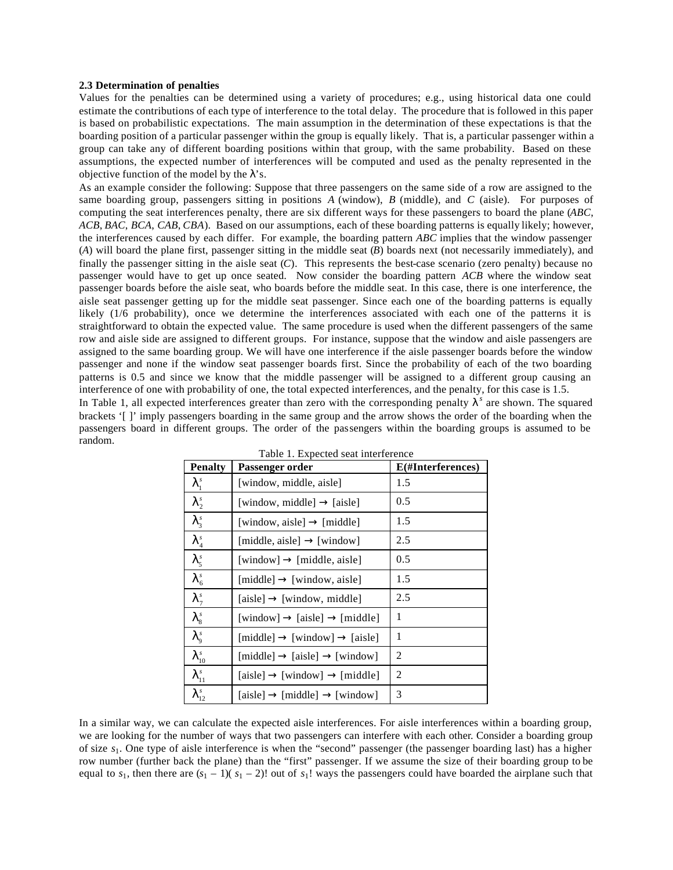#### **2.3 Determination of penalties**

Values for the penalties can be determined using a variety of procedures; e.g., using historical data one could estimate the contributions of each type of interference to the total delay. The procedure that is followed in this paper is based on probabilistic expectations. The main assumption in the determination of these expectations is that the boarding position of a particular passenger within the group is equally likely. That is, a particular passenger within a group can take any of different boarding positions within that group, with the same probability. Based on these assumptions, the expected number of interferences will be computed and used as the penalty represented in the objective function of the model by the  $\lambda$ 's.

As an example consider the following: Suppose that three passengers on the same side of a row are assigned to the same boarding group, passengers sitting in positions *A* (window), *B* (middle), and *C* (aisle). For purposes of computing the seat interferences penalty, there are six different ways for these passengers to board the plane (*ABC*, *ACB*, *BAC*, *BCA*, *CAB*, *CBA*). Based on our assumptions, each of these boarding patterns is equally likely; however, the interferences caused by each differ. For example, the boarding pattern *ABC* implies that the window passenger (*A*) will board the plane first, passenger sitting in the middle seat (*B*) boards next (not necessarily immediately), and finally the passenger sitting in the aisle seat (*C*). This represents the best-case scenario (zero penalty) because no passenger would have to get up once seated. Now consider the boarding pattern *ACB* where the window seat passenger boards before the aisle seat, who boards before the middle seat. In this case, there is one interference, the aisle seat passenger getting up for the middle seat passenger. Since each one of the boarding patterns is equally likely (1/6 probability), once we determine the interferences associated with each one of the patterns it is straightforward to obtain the expected value. The same procedure is used when the different passengers of the same row and aisle side are assigned to different groups. For instance, suppose that the window and aisle passengers are assigned to the same boarding group. We will have one interference if the aisle passenger boards before the window passenger and none if the window seat passenger boards first. Since the probability of each of the two boarding patterns is 0.5 and since we know that the middle passenger will be assigned to a different group causing an interference of one with probability of one, the total expected interferences, and the penalty, for this case is 1.5. In Table 1, all expected interferences greater than zero with the corresponding penalty  $I<sup>s</sup>$  are shown. The squared

brackets '[ ]' imply passengers boarding in the same group and the arrow shows the order of the boarding when the passengers board in different groups. The order of the passengers within the boarding groups is assumed to be random.

| <b>Penalty</b>          | Passenger order                                     | E(#Interferences) |  |  |  |
|-------------------------|-----------------------------------------------------|-------------------|--|--|--|
| $\mathbf{I}_1^s$        | [window, middle, aisle]                             | 1.5               |  |  |  |
| $\mathbf{I}_2^s$        | [window, middle] $\rightarrow$ [aisle]              | 0.5               |  |  |  |
| $\mathbf{I}_3^s$        | [window, aisle] $\rightarrow$ [middle]              | 1.5               |  |  |  |
| $\mathbf{I}_4^s$        | [middle, aisle] $\rightarrow$ [window]              | 2.5               |  |  |  |
| $I_5^s$                 | $[window] \rightarrow [middle, aisle]$              | 0.5               |  |  |  |
| $I_6^s$                 | $[middle] \rightarrow [window, aisle]$              | 1.5               |  |  |  |
| $\mathbf{I}_7^s$        | $[aisle] \rightarrow [window, middle]$              | 2.5               |  |  |  |
| $I_{\rm s}^{\rm s}$     | $[window] \rightarrow [aisle] \rightarrow [middle]$ | 1                 |  |  |  |
| $I_{9}^{s}$             | $[middle] \rightarrow [window] \rightarrow [aisle]$ | 1                 |  |  |  |
| $\bm{l}_{10}^s$         | $[middle] \rightarrow [ais] \rightarrow [window]$   | 2                 |  |  |  |
| $\boldsymbol{l}_{11}^s$ | $[aisle] \rightarrow [window] \rightarrow [middle]$ | 2                 |  |  |  |
| $\bm{l}^{\,s}_{\,12}$   | $[aisle] \rightarrow [middle] \rightarrow [window]$ | 3                 |  |  |  |

|  | Table 1. Expected seat interference |  |
|--|-------------------------------------|--|
|  |                                     |  |

In a similar way, we can calculate the expected aisle interferences. For aisle interferences within a boarding group, we are looking for the number of ways that two passengers can interfere with each other. Consider a boarding group of size *s*1. One type of aisle interference is when the "second" passenger (the passenger boarding last) has a higher row number (further back the plane) than the "first" passenger. If we assume the size of their boarding group to be equal to  $s_1$ , then there are  $(s_1 - 1)(s_1 - 2)!$  out of  $s_1!$  ways the passengers could have boarded the airplane such that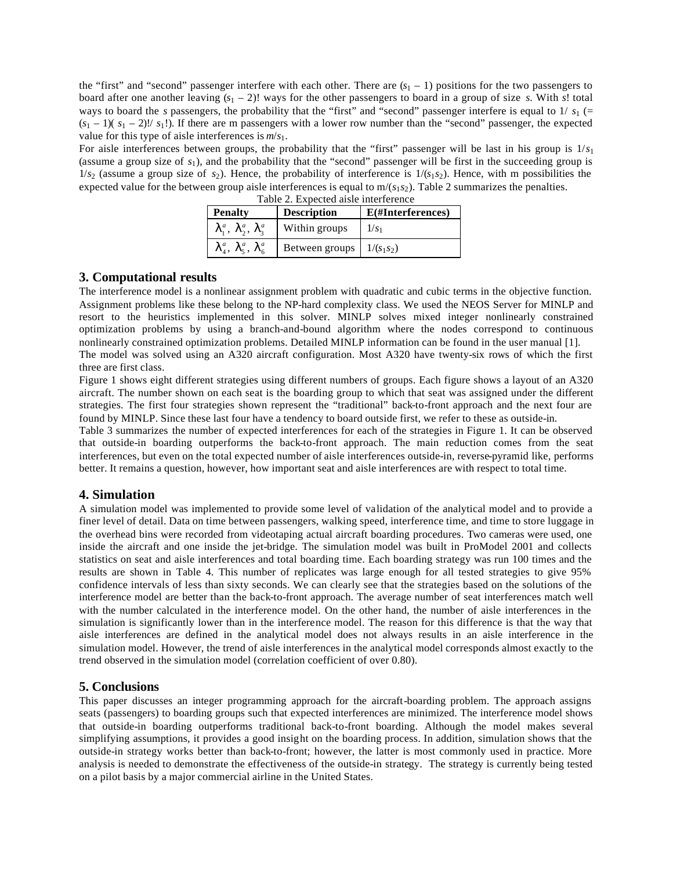the "first" and "second" passenger interfere with each other. There are  $(s<sub>1</sub> - 1)$  positions for the two passengers to board after one another leaving  $(s_1 - 2)!$  ways for the other passengers to board in a group of size *s*. With *s*! total ways to board the *s* passengers, the probability that the "first" and "second" passenger interfere is equal to  $1/ s_1$  (=  $(s_1 - 1)(s_1 - 2)!$   $s_1$ !). If there are m passengers with a lower row number than the "second" passenger, the expected value for this type of aisle interferences is *m*/*s*1.

For aisle interferences between groups, the probability that the "first" passenger will be last in his group is 1/*s*<sup>1</sup> (assume a group size of *s*1), and the probability that the "second" passenger will be first in the succeeding group is  $1/s_2$  (assume a group size of  $s_2$ ). Hence, the probability of interference is  $1/(s_1s_2)$ . Hence, with m possibilities the expected value for the between group aisle interferences is equal to  $m/(s_1s_2)$ . Table 2 summarizes the penalties. Table 2. Expected aisle interference

| <b>Penalty</b>              | <b>Description</b> | E(#Interferences) |  |  |
|-----------------------------|--------------------|-------------------|--|--|
| $I_1^a$ , $I_2^a$ , $I_3^a$ | Within groups      | $1/s_1$           |  |  |
| $I_4^a, I_5^a, I_6^a$       | Between groups     | $1/(s_1s_2)$      |  |  |

## **3. Computational results**

The interference model is a nonlinear assignment problem with quadratic and cubic terms in the objective function. Assignment problems like these belong to the NP-hard complexity class. We used the NEOS Server for MINLP and resort to the heuristics implemented in this solver. MINLP solves mixed integer nonlinearly constrained optimization problems by using a branch-and-bound algorithm where the nodes correspond to continuous nonlinearly constrained optimization problems. Detailed MINLP information can be found in the user manual [1]. The model was solved using an A320 aircraft configuration. Most A320 have twenty-six rows of which the first three are first class.

Figure 1 shows eight different strategies using different numbers of groups. Each figure shows a layout of an A320 aircraft. The number shown on each seat is the boarding group to which that seat was assigned under the different strategies. The first four strategies shown represent the "traditional" back-to-front approach and the next four are found by MINLP. Since these last four have a tendency to board outside first, we refer to these as outside-in.

Table 3 summarizes the number of expected interferences for each of the strategies in Figure 1. It can be observed that outside-in boarding outperforms the back-to-front approach. The main reduction comes from the seat interferences, but even on the total expected number of aisle interferences outside-in, reverse-pyramid like, performs better. It remains a question, however, how important seat and aisle interferences are with respect to total time.

## **4. Simulation**

A simulation model was implemented to provide some level of validation of the analytical model and to provide a finer level of detail. Data on time between passengers, walking speed, interference time, and time to store luggage in the overhead bins were recorded from videotaping actual aircraft boarding procedures. Two cameras were used, one inside the aircraft and one inside the jet-bridge. The simulation model was built in ProModel 2001 and collects statistics on seat and aisle interferences and total boarding time. Each boarding strategy was run 100 times and the results are shown in Table 4. This number of replicates was large enough for all tested strategies to give 95% confidence intervals of less than sixty seconds. We can clearly see that the strategies based on the solutions of the interference model are better than the back-to-front approach. The average number of seat interferences match well with the number calculated in the interference model. On the other hand, the number of aisle interferences in the simulation is significantly lower than in the interference model. The reason for this difference is that the way that aisle interferences are defined in the analytical model does not always results in an aisle interference in the simulation model. However, the trend of aisle interferences in the analytical model corresponds almost exactly to the trend observed in the simulation model (correlation coefficient of over 0.80).

## **5. Conclusions**

This paper discusses an integer programming approach for the aircraft-boarding problem. The approach assigns seats (passengers) to boarding groups such that expected interferences are minimized. The interference model shows that outside-in boarding outperforms traditional back-to-front boarding. Although the model makes several simplifying assumptions, it provides a good insight on the boarding process. In addition, simulation shows that the outside-in strategy works better than back-to-front; however, the latter is most commonly used in practice. More analysis is needed to demonstrate the effectiveness of the outside-in strategy. The strategy is currently being tested on a pilot basis by a major commercial airline in the United States.